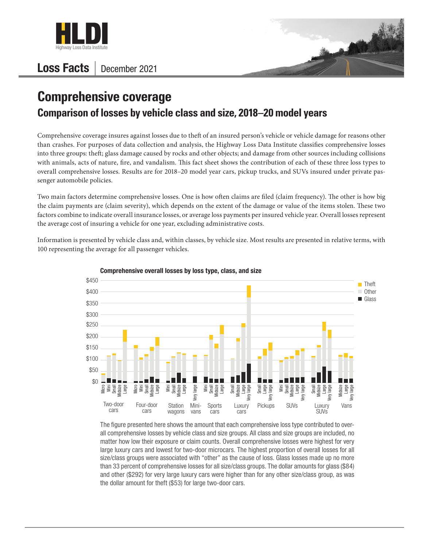

## Loss Facts | December 2021



## **Comprehensive coverage Comparison of losses by vehicle class and size, 2018–20 model years**

Comprehensive coverage insures against losses due to theft of an insured person's vehicle or vehicle damage for reasons other than crashes. For purposes of data collection and analysis, the Highway Loss Data Institute classifies comprehensive losses into three groups: theft; glass damage caused by rocks and other objects; and damage from other sources including collisions with animals, acts of nature, fire, and vandalism. This fact sheet shows the contribution of each of these three loss types to overall comprehensive losses. Results are for 2018–20 model year cars, pickup trucks, and SUVs insured under private passenger automobile policies.

Two main factors determine comprehensive losses. One is how often claims are filed (claim frequency). The other is how big the claim payments are (claim severity), which depends on the extent of the damage or value of the items stolen. These two factors combine to indicate overall insurance losses, or average loss payments per insured vehicle year. Overall losses represent the average cost of insuring a vehicle for one year, excluding administrative costs.

Information is presented by vehicle class and, within classes, by vehicle size. Most results are presented in relative terms, with 100 representing the average for all passenger vehicles.



Comprehensive overall losses by loss type, class, and size

The figure presented here shows the amount that each comprehensive loss type contributed to overall comprehensive losses by vehicle class and size groups. All class and size groups are included, no matter how low their exposure or claim counts. Overall comprehensive losses were highest for very large luxury cars and lowest for two-door microcars. The highest proportion of overall losses for all size/class groups were associated with "other" as the cause of loss. Glass losses made up no more than 33 percent of comprehensive losses for all size/class groups. The dollar amounts for glass (\$84) and other (\$292) for very large luxury cars were higher than for any other size/class group, as was the dollar amount for theft (\$53) for large two-door cars.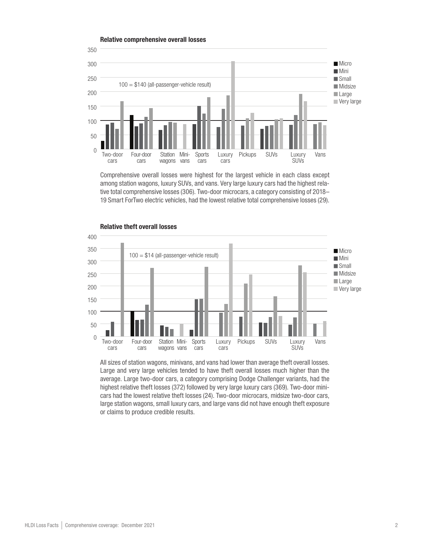

Comprehensive overall losses were highest for the largest vehicle in each class except among station wagons, luxury SUVs, and vans. Very large luxury cars had the highest relative total comprehensive losses (306). Two-door microcars, a category consisting of 2018– 19 Smart ForTwo electric vehicles, had the lowest relative total comprehensive losses (29).



Relative theft overall losses

All sizes of station wagons, minivans, and vans had lower than average theft overall losses. Large and very large vehicles tended to have theft overall losses much higher than the average. Large two-door cars, a category comprising Dodge Challenger variants, had the highest relative theft losses (372) followed by very large luxury cars (369). Two-door minicars had the lowest relative theft losses (24). Two-door microcars, midsize two-door cars, large station wagons, small luxury cars, and large vans did not have enough theft exposure or claims to produce credible results.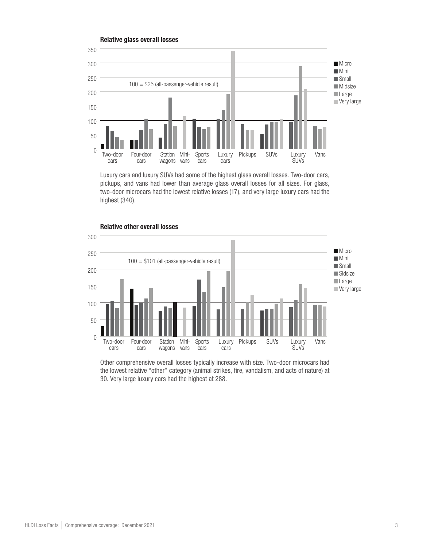

Luxury cars and luxury SUVs had some of the highest glass overall losses. Two-door cars, pickups, and vans had lower than average glass overall losses for all sizes. For glass, two-door microcars had the lowest relative losses (17), and very large luxury cars had the highest (340).



## Relative other overall losses

Other comprehensive overall losses typically increase with size. Two-door microcars had the lowest relative "other" category (animal strikes, fire, vandalism, and acts of nature) at 30. Very large luxury cars had the highest at 288.